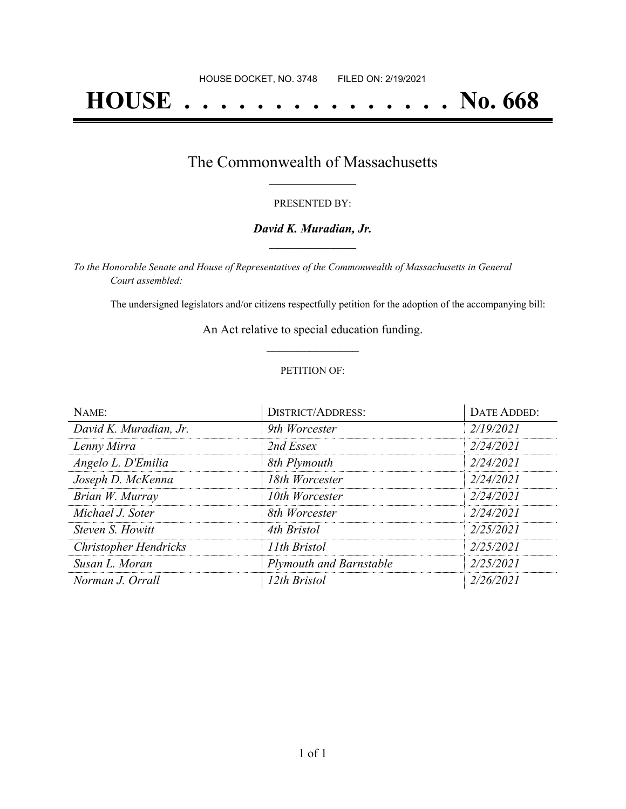# **HOUSE . . . . . . . . . . . . . . . No. 668**

### The Commonwealth of Massachusetts **\_\_\_\_\_\_\_\_\_\_\_\_\_\_\_\_\_**

#### PRESENTED BY:

#### *David K. Muradian, Jr.* **\_\_\_\_\_\_\_\_\_\_\_\_\_\_\_\_\_**

*To the Honorable Senate and House of Representatives of the Commonwealth of Massachusetts in General Court assembled:*

The undersigned legislators and/or citizens respectfully petition for the adoption of the accompanying bill:

An Act relative to special education funding. **\_\_\_\_\_\_\_\_\_\_\_\_\_\_\_**

#### PETITION OF:

| NAME:                        | <b>DISTRICT/ADDRESS:</b>       | DATE ADDED: |
|------------------------------|--------------------------------|-------------|
| David K. Muradian, Jr.       | 9th Worcester                  | 2/19/2021   |
| Lenny Mirra                  | 2nd Essex                      | 2/24/2021   |
| Angelo L. D'Emilia           | 8th Plymouth                   | 2/24/2021   |
| Joseph D. McKenna            | 18th Worcester                 | 2/24/2021   |
| Brian W. Murray              | 10th Worcester                 | 2/24/2021   |
| Michael J. Soter             | 8th Worcester                  | 2/24/2021   |
| Steven S. Howitt             | 4th Bristol                    | 2/25/2021   |
| <b>Christopher Hendricks</b> | 11th Bristol                   | 2/25/2021   |
| Susan L. Moran               | <b>Plymouth and Barnstable</b> | 2/25/2021   |
| Norman J. Orrall             | 12th Bristol                   | 2/26/2021   |